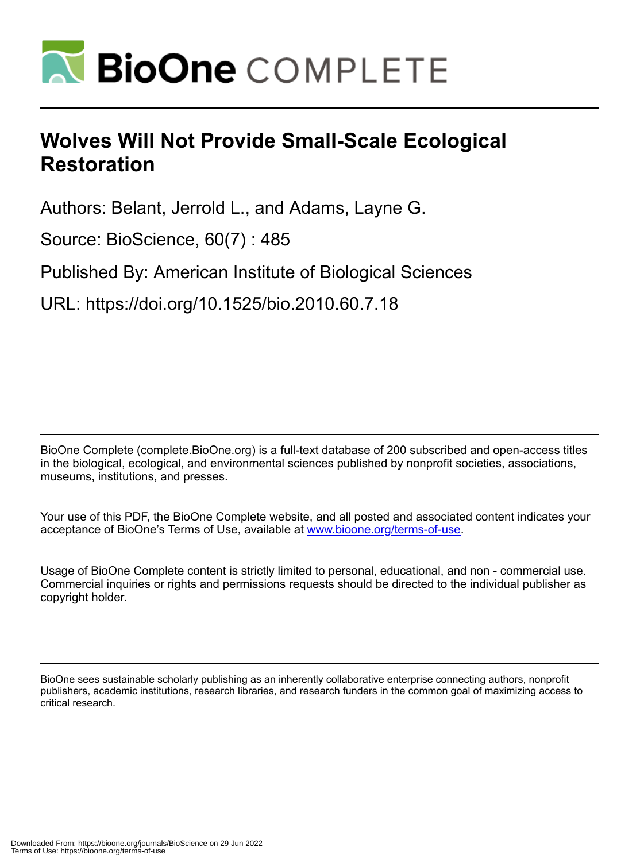

# **Wolves Will Not Provide Small-Scale Ecological Restoration**

Authors: Belant, Jerrold L., and Adams, Layne G.

Source: BioScience, 60(7) : 485

Published By: American Institute of Biological Sciences

URL: https://doi.org/10.1525/bio.2010.60.7.18

BioOne Complete (complete.BioOne.org) is a full-text database of 200 subscribed and open-access titles in the biological, ecological, and environmental sciences published by nonprofit societies, associations, museums, institutions, and presses.

Your use of this PDF, the BioOne Complete website, and all posted and associated content indicates your acceptance of BioOne's Terms of Use, available at www.bioone.org/terms-of-use.

Usage of BioOne Complete content is strictly limited to personal, educational, and non - commercial use. Commercial inquiries or rights and permissions requests should be directed to the individual publisher as copyright holder.

BioOne sees sustainable scholarly publishing as an inherently collaborative enterprise connecting authors, nonprofit publishers, academic institutions, research libraries, and research funders in the common goal of maximizing access to critical research.